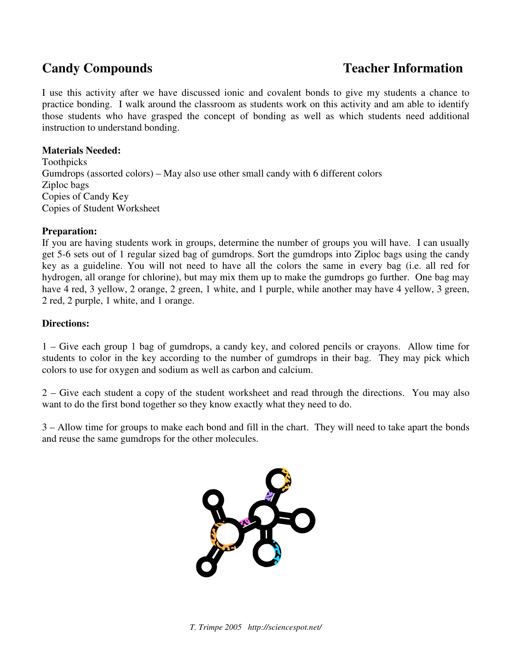## **Candy Compounds Teacher Information**

I use this activity after we have discussed ionic and covalent bonds to give my students a chance to practice bonding. I walk around the classroom as students work on this activity and am able to identify those students who have grasped the concept of bonding as well as which students need additional instruction to understand bonding.

### **Materials Needed:**

Toothpicks Gumdrops (assorted colors) – May also use other small candy with 6 different colors Ziploc bags Copies of Candy Key Copies of Student Worksheet

### **Preparation:**

If you are having students work in groups, determine the number of groups you will have. I can usually get 5-6 sets out of 1 regular sized bag of gumdrops. Sort the gumdrops into Ziploc bags using the candy key as a guideline. You will not need to have all the colors the same in every bag (i.e. all red for hydrogen, all orange for chlorine), but may mix them up to make the gumdrops go further. One bag may have 4 red, 3 yellow, 2 orange, 2 green, 1 white, and 1 purple, while another may have 4 yellow, 3 green, 2 red, 2 purple, 1 white, and 1 orange.

### **Directions:**

1 – Give each group 1 bag of gumdrops, a candy key, and colored pencils or crayons. Allow time for students to color in the key according to the number of gumdrops in their bag. They may pick which colors to use for oxygen and sodium as well as carbon and calcium.

2 – Give each student a copy of the student worksheet and read through the directions. You may also want to do the first bond together so they know exactly what they need to do.

3 – Allow time for groups to make each bond and fill in the chart. They will need to take apart the bonds and reuse the same gumdrops for the other molecules.

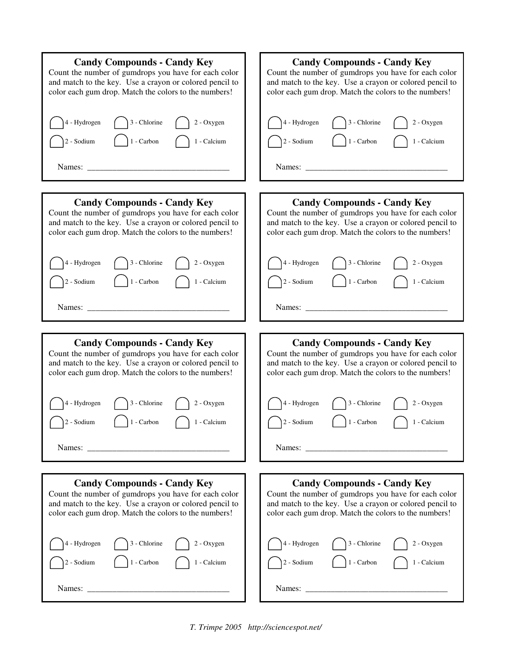| <b>Candy Compounds - Candy Key</b>                      | <b>Candy Compounds - Candy Key</b>                        |
|---------------------------------------------------------|-----------------------------------------------------------|
| Count the number of gumdrops you have for each color    | Count the number of gumdrops you have for each color      |
| and match to the key. Use a crayon or colored pencil to | and match to the key. Use a crayon or colored pencil to   |
| color each gum drop. Match the colors to the numbers!   | color each gum drop. Match the colors to the numbers!     |
| 3 - Chlorine                                            | 4 - Hydrogen                                              |
| 4 - Hydrogen                                            | 3 - Chlorine                                              |
| 2 - Oxygen                                              | 2 - Oxygen                                                |
| 1 - Carbon                                              | 1 - Carbon                                                |
| 1 - Calcium                                             | 2 - Sodium                                                |
| 2 - Sodium                                              | 1 - Calcium                                               |
| Names:                                                  | Names: $\frac{1}{\sqrt{1-\frac{1}{2}} \cdot \frac{1}{2}}$ |
| <b>Candy Compounds - Candy Key</b>                      | <b>Candy Compounds - Candy Key</b>                        |
| Count the number of gumdrops you have for each color    | Count the number of gumdrops you have for each color      |
| and match to the key. Use a crayon or colored pencil to | and match to the key. Use a crayon or colored pencil to   |
| color each gum drop. Match the colors to the numbers!   | color each gum drop. Match the colors to the numbers!     |
| 3 - Chlorine                                            | 4 - Hydrogen                                              |
| 4 - Hydrogen                                            | 3 - Chlorine                                              |
| 2 - Oxygen                                              | 2 - Oxygen                                                |
| $2$ - $\rm{Sodium}$                                     | 1 - Carbon                                                |
| 1 - Carbon                                              | 2 - Sodium                                                |
| 1 - Calcium                                             | 1 - Calcium                                               |
| Names:                                                  | Names:                                                    |
|                                                         |                                                           |
| <b>Candy Compounds - Candy Key</b>                      | <b>Candy Compounds - Candy Key</b>                        |
| Count the number of gumdrops you have for each color    | Count the number of gumdrops you have for each color      |
| and match to the key. Use a crayon or colored pencil to | and match to the key. Use a crayon or colored pencil to   |
| color each gum drop. Match the colors to the numbers!   | color each gum drop. Match the colors to the numbers!     |
| 4 - Hydrogen                                            | 3 - Chlorine                                              |
| 3 - Chlorine                                            | 4 - Hydrogen                                              |
| 2 - Oxygen                                              | 2 - Oxygen                                                |
| 1 - Carbon                                              | 1 - Carbon                                                |
| 2 - Sodium                                              | 2 - Sodium                                                |
| 1 - Calcium                                             | 1 - Calcium                                               |
| Names:                                                  | Names: $\frac{1}{\sqrt{1-\frac{1}{2}} \cdot \frac{1}{2}}$ |
| <b>Candy Compounds - Candy Key</b>                      | <b>Candy Compounds - Candy Key</b>                        |
| Count the number of gumdrops you have for each color    | Count the number of gumdrops you have for each color      |
| and match to the key. Use a crayon or colored pencil to | and match to the key. Use a crayon or colored pencil to   |
| color each gum drop. Match the colors to the numbers!   | color each gum drop. Match the colors to the numbers!     |
| $3$ - Chlorine                                          | 3 - Chlorine                                              |
| 4 - Hydrogen                                            | 4 - Hydrogen                                              |
| 2 - Oxygen                                              | 2 - Oxygen                                                |
| $1 - \text{Carbon}$                                     | 1 - Carbon                                                |
| 1 - Calcium                                             | 1 - Calcium                                               |
| 2 - Sodium                                              | $2 -$ Sodium                                              |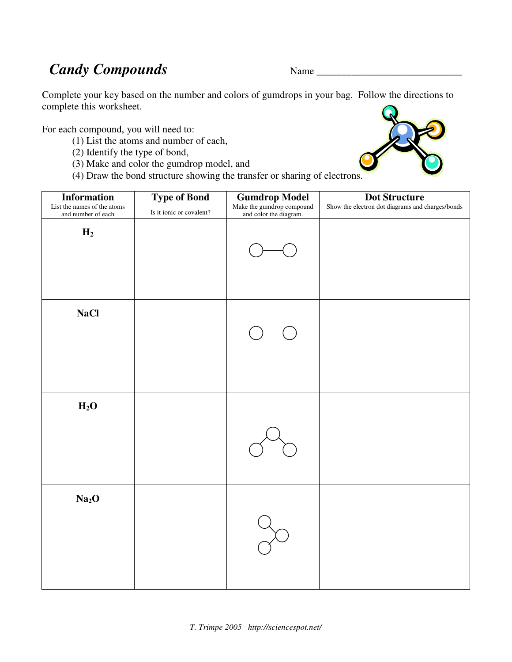## *Candy Compounds* Name \_\_\_\_\_\_\_\_\_\_\_\_\_\_\_\_\_\_\_\_\_\_\_\_\_\_\_\_\_

Complete your key based on the number and colors of gumdrops in your bag. Follow the directions to complete this worksheet.

For each compound, you will need to:

- (1) List the atoms and number of each,
- (2) Identify the type of bond,
- (3) Make and color the gumdrop model, and
- (4) Draw the bond structure showing the transfer or sharing of electrons.

| <b>Information</b><br>List the names of the atoms<br>and number of each | <b>Type of Bond</b><br>Is it ionic or covalent? | <b>Gumdrop Model</b><br>Make the gumdrop compound<br>and color the diagram. | <b>Dot Structure</b><br>Show the electron dot diagrams and charges/bonds |
|-------------------------------------------------------------------------|-------------------------------------------------|-----------------------------------------------------------------------------|--------------------------------------------------------------------------|
| $H_2$                                                                   |                                                 |                                                                             |                                                                          |
| <b>NaCl</b>                                                             |                                                 |                                                                             |                                                                          |
| $\mathbf{H}_2\mathbf{O}$                                                |                                                 |                                                                             |                                                                          |
| Na <sub>2</sub> O                                                       |                                                 |                                                                             |                                                                          |

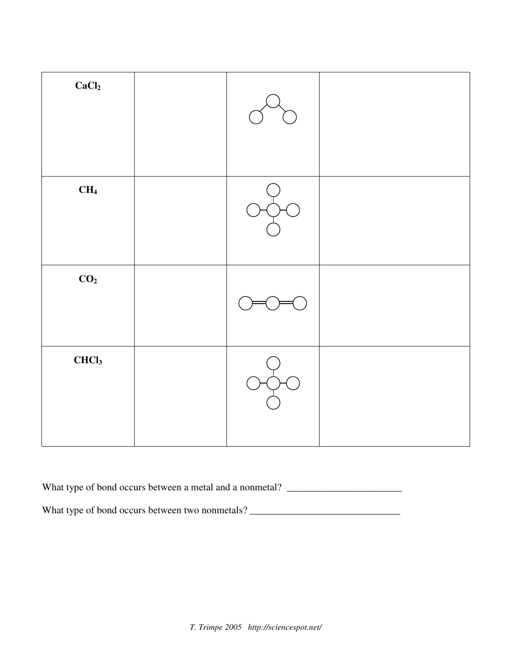| CaCl <sub>2</sub> |  |  |
|-------------------|--|--|
| CH <sub>4</sub>   |  |  |
| CO <sub>2</sub>   |  |  |
| CHCl <sub>3</sub> |  |  |

What type of bond occurs between a metal and a nonmetal? \_\_\_\_\_\_\_\_\_\_\_\_\_\_\_\_\_\_\_\_\_\_\_

What type of bond occurs between two nonmetals? \_\_\_\_\_\_\_\_\_\_\_\_\_\_\_\_\_\_\_\_\_\_\_\_\_\_\_\_\_\_\_\_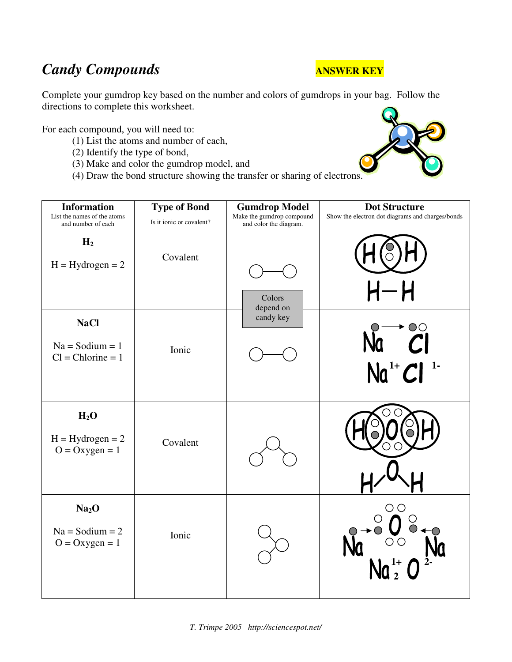# **Candy Compounds ANSWER KEY**

Complete your gumdrop key based on the number and colors of gumdrops in your bag. Follow the directions to complete this worksheet.

For each compound, you will need to:

- (1) List the atoms and number of each,
- (2) Identify the type of bond,
- (3) Make and color the gumdrop model, and
- (4) Draw the bond structure showing the transfer or sharing of electrons.

| <b>Information</b><br>List the names of the atoms<br>and number of each | <b>Type of Bond</b><br>Is it ionic or covalent? | <b>Gumdrop Model</b><br>Make the gumdrop compound<br>and color the diagram. | <b>Dot Structure</b><br>Show the electron dot diagrams and charges/bonds |
|-------------------------------------------------------------------------|-------------------------------------------------|-----------------------------------------------------------------------------|--------------------------------------------------------------------------|
| H <sub>2</sub><br>$H = Hydrogen = 2$                                    | Covalent                                        | Colors<br>depend on                                                         | $\mathsf{H}\mathsf{-}\mathsf{H}$                                         |
| <b>NaCl</b><br>$Na =$ Sodium = 1<br>$Cl = Chlorine = 1$                 | Ionic                                           | candy key                                                                   | $\overset{\circ}{\mathcal{C}}{}^{l}$<br>$Na^{1+}Cl^{1-}$                 |
| H <sub>2</sub> O<br>$H = Hydrogen = 2$<br>$O = Oxygen = 1$              | Covalent                                        |                                                                             |                                                                          |
| Na <sub>2</sub> O<br>$Na = Sodium = 2$<br>$O = Oxygen = 1$              | Ionic                                           |                                                                             | OΟ                                                                       |